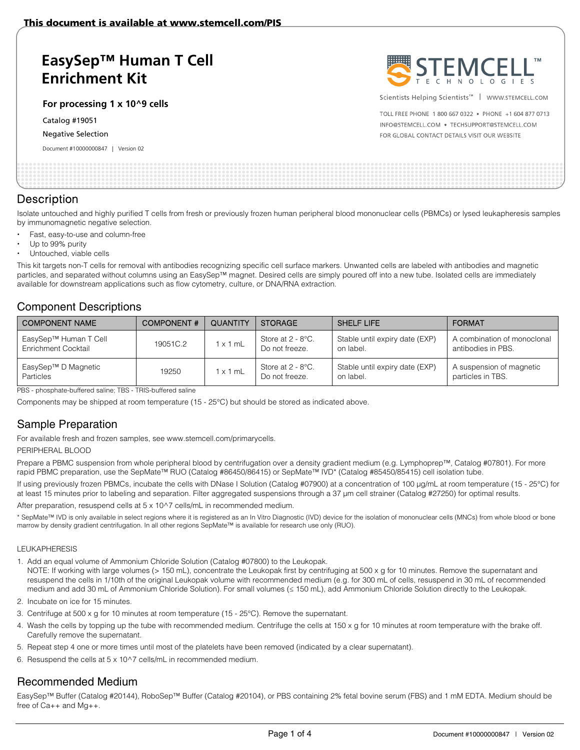# **EasySep™ Human T Cell Enrichment Kit**

**For processing 1 x 10^9 cells** 

Catalog #19051

Negative Selection

Document #10000000847 | Version 02



Scientists Helping Scientists<sup>™</sup> | WWW.STEMCELL.COM

TOLL FREE PHONE 1 800 667 0322 . PHONE +1 604 877 0713 INFO@STEMCELL.COM . TECHSUPPORT@STEMCELL.COM FOR GLOBAL CONTACT DETAILS VISIT OUR WEBSITE

### **Description**

Isolate untouched and highly purified T cells from fresh or previously frozen human peripheral blood mononuclear cells (PBMCs) or lysed leukapheresis samples by immunomagnetic negative selection.

- Fast, easy-to-use and column-free
- Up to 99% purity
- Untouched, viable cells

This kit targets non-T cells for removal with antibodies recognizing specific cell surface markers. Unwanted cells are labeled with antibodies and magnetic particles, and separated without columns using an EasySep™ magnet. Desired cells are simply poured off into a new tube. Isolated cells are immediately available for downstream applications such as flow cytometry, culture, or DNA/RNA extraction.

## Component Descriptions

| <b>COMPONENT NAME</b>                        | <b>COMPONENT#</b> | <b>QUANTITY</b> | <b>STORAGE</b>                         | SHELF LIFE                                  | <b>FORMAT</b>                                     |
|----------------------------------------------|-------------------|-----------------|----------------------------------------|---------------------------------------------|---------------------------------------------------|
| EasySep™ Human T Cell<br>Enrichment Cocktail | 19051C.2          | x 1 mL          | Store at $2 - 8$ °C.<br>Do not freeze. | Stable until expiry date (EXP)<br>on label. | A combination of monoclonal<br>antibodies in PBS. |
| EasySep™ D Magnetic<br>Particles             | 19250             | x 1 mL          | Store at $2 - 8$ °C.<br>Do not freeze. | Stable until expiry date (EXP)<br>on label. | A suspension of magnetic<br>particles in TBS.     |

PBS - phosphate-buffered saline; TBS - TRIS-buffered saline

Components may be shipped at room temperature (15 - 25°C) but should be stored as indicated above.

# Sample Preparation

For available fresh and frozen samples, see www.stemcell.com/primarycells.

#### PERIPHERAL BLOOD

Prepare a PBMC suspension from whole peripheral blood by centrifugation over a density gradient medium (e.g. Lymphoprep™, Catalog #07801). For more rapid PBMC preparation, use the SepMate™ RUO (Catalog #86450/86415) or SepMate™ IVD\* (Catalog #85450/85415) cell isolation tube.

If using previously frozen PBMCs, incubate the cells with DNase I Solution (Catalog #07900) at a concentration of 100 μg/mL at room temperature (15 - 25°C) for at least 15 minutes prior to labeling and separation. Filter aggregated suspensions through a 37 μm cell strainer (Catalog #27250) for optimal results.

After preparation, resuspend cells at 5 x 10^7 cells/mL in recommended medium.

\* SepMate™ IVD is only available in select regions where it is registered as an In Vitro Diagnostic (IVD) device for the isolation of mononuclear cells (MNCs) from whole blood or bone marrow by density gradient centrifugation. In all other regions SepMate™ is available for research use only (RUO).

#### LEUKAPHERESIS

1. Add an equal volume of Ammonium Chloride Solution (Catalog #07800) to the Leukopak.

NOTE: If working with large volumes (> 150 mL), concentrate the Leukopak first by centrifuging at 500 x g for 10 minutes. Remove the supernatant and resuspend the cells in 1/10th of the original Leukopak volume with recommended medium (e.g. for 300 mL of cells, resuspend in 30 mL of recommended medium and add 30 mL of Ammonium Chloride Solution). For small volumes (≤ 150 mL), add Ammonium Chloride Solution directly to the Leukopak.

- 2. Incubate on ice for 15 minutes.
- 3. Centrifuge at 500 x g for 10 minutes at room temperature (15 25°C). Remove the supernatant.
- 4. Wash the cells by topping up the tube with recommended medium. Centrifuge the cells at 150 x g for 10 minutes at room temperature with the brake off. Carefully remove the supernatant.
- 5. Repeat step 4 one or more times until most of the platelets have been removed (indicated by a clear supernatant).
- 6. Resuspend the cells at 5 x 10^7 cells/mL in recommended medium.

## Recommended Medium

EasySep™ Buffer (Catalog #20144), RoboSep™ Buffer (Catalog #20104), or PBS containing 2% fetal bovine serum (FBS) and 1 mM EDTA. Medium should be free of Ca++ and Mg++.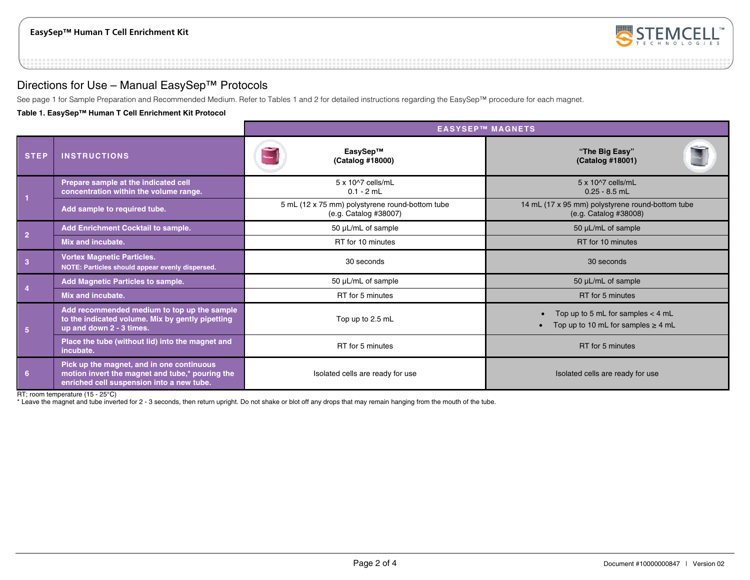

# Directions for Use – Manual EasySep™ Protocols

See page 1 for Sample Preparation and Recommended Medium. Refer to Tables 1 and 2 for detailed instructions regarding the EasySep™ procedure for each magnet.

#### **Table 1. EasySep™ Human T Cell Enrichment Kit Protocol**

|                         |                                                                                                                                           | <b>EASYSEP™ MAGNETS</b>                                                  |                                                                                |  |
|-------------------------|-------------------------------------------------------------------------------------------------------------------------------------------|--------------------------------------------------------------------------|--------------------------------------------------------------------------------|--|
| <b>STEP</b>             | <b>INSTRUCTIONS</b>                                                                                                                       | EasySep™<br>(Catalog #18000)                                             | "The Big Easy"<br>(Catalog #18001)                                             |  |
|                         | Prepare sample at the indicated cell<br>concentration within the volume range.                                                            | 5 x 10^7 cells/mL<br>$0.1 - 2$ mL                                        | $5 \times 10^{27}$ cells/mL<br>$0.25 - 8.5$ mL                                 |  |
|                         | Add sample to required tube.                                                                                                              | 5 mL (12 x 75 mm) polystyrene round-bottom tube<br>(e.g. Catalog #38007) | 14 mL (17 x 95 mm) polystyrene round-bottom tube<br>(e.g. Catalog #38008)      |  |
| $\overline{2}$          | Add Enrichment Cocktail to sample.                                                                                                        | 50 µL/mL of sample                                                       | 50 µL/mL of sample                                                             |  |
|                         | Mix and incubate.                                                                                                                         | RT for 10 minutes                                                        | RT for 10 minutes                                                              |  |
| $\overline{\mathbf{3}}$ | <b>Vortex Magnetic Particles.</b><br>NOTE: Particles should appear evenly dispersed.                                                      | 30 seconds                                                               | 30 seconds                                                                     |  |
|                         | <b>Add Magnetic Particles to sample.</b>                                                                                                  | 50 µL/mL of sample                                                       | 50 $\mu$ L/mL of sample                                                        |  |
|                         | Mix and incubate.                                                                                                                         | RT for 5 minutes                                                         | RT for 5 minutes                                                               |  |
| 5                       | Add recommended medium to top up the sample<br>to the indicated volume. Mix by gently pipetting<br>up and down 2 - 3 times.               | Top up to 2.5 mL                                                         | Top up to 5 mL for samples $<$ 4 mL<br>Top up to 10 mL for samples $\geq$ 4 mL |  |
|                         | Place the tube (without lid) into the magnet and<br>incubate.                                                                             | RT for 5 minutes                                                         | RT for 5 minutes                                                               |  |
| 6                       | Pick up the magnet, and in one continuous<br>motion invert the magnet and tube,* pouring the<br>enriched cell suspension into a new tube. | Isolated cells are ready for use<br>Isolated cells are ready for use     |                                                                                |  |

RT; room temperature (15 - 25°C)

\* Leave the magnet and tube inverted for 2 - 3 seconds, then return upright. Do not shake or blot off any drops that may remain hanging from the mouth of the tube.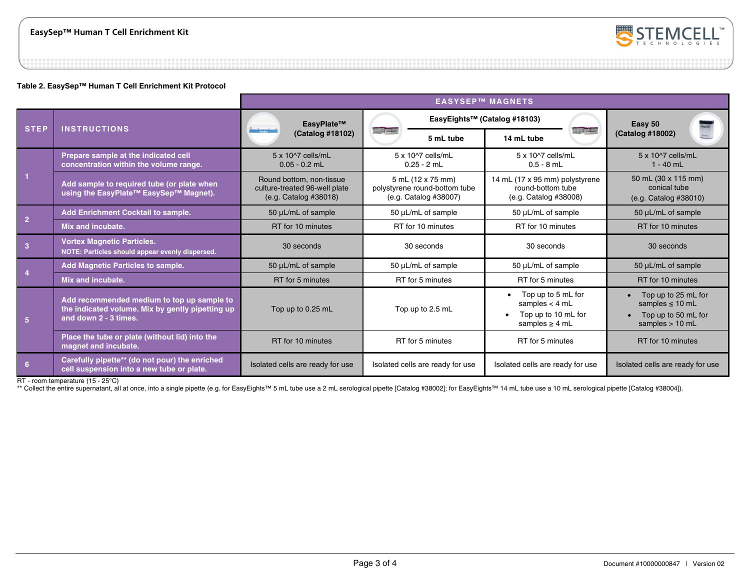

#### **Table 2. EasySep™ Human T Cell Enrichment Kit Protocol**

|                |                                                                                                                         | <b>EASYSEP™ MAGNETS</b>                                                            |                                                                             |                                                                                      |                                                                                         |
|----------------|-------------------------------------------------------------------------------------------------------------------------|------------------------------------------------------------------------------------|-----------------------------------------------------------------------------|--------------------------------------------------------------------------------------|-----------------------------------------------------------------------------------------|
| <b>STEP</b>    | <b>INSTRUCTIONS</b>                                                                                                     | EasyPlate™                                                                         |                                                                             | EasyEights™ (Catalog #18103)                                                         | MaySep<br>Easy 50<br>(Catalog #18002)                                                   |
|                |                                                                                                                         | سلسورك<br>(Catalog #18102)                                                         | <b>TALLATION</b><br>5 mL tube                                               | <b>THE PROPERTY</b><br>14 mL tube                                                    |                                                                                         |
|                | Prepare sample at the indicated cell<br>concentration within the volume range.                                          | 5 x 10^7 cells/mL<br>$0.05 - 0.2$ mL                                               | 5 x 10^7 cells/mL<br>$0.25 - 2$ mL                                          | 5 x 10^7 cells/mL<br>$0.5 - 8$ mL                                                    | $5 \times 10^{27}$ cells/mL<br>$1 - 40$ mL                                              |
|                | Add sample to required tube (or plate when<br>using the EasyPlate™ EasySep™ Magnet).                                    | Round bottom, non-tissue<br>culture-treated 96-well plate<br>(e.g. Catalog #38018) | 5 mL (12 x 75 mm)<br>polystyrene round-bottom tube<br>(e.g. Catalog #38007) | 14 mL (17 x 95 mm) polystyrene<br>round-bottom tube<br>(e.g. Catalog #38008)         | 50 mL (30 x 115 mm)<br>conical tube<br>(e.g. Catalog #38010)                            |
| $\overline{2}$ | <b>Add Enrichment Cocktail to sample.</b>                                                                               | 50 µL/mL of sample                                                                 | 50 µL/mL of sample                                                          | 50 µL/mL of sample                                                                   | 50 µL/mL of sample                                                                      |
|                | Mix and incubate.                                                                                                       | RT for 10 minutes                                                                  | RT for 10 minutes                                                           | RT for 10 minutes                                                                    | RT for 10 minutes                                                                       |
| $\overline{3}$ | <b>Vortex Magnetic Particles.</b><br>NOTE: Particles should appear evenly dispersed.                                    | 30 seconds                                                                         | 30 seconds                                                                  | 30 seconds                                                                           | 30 seconds                                                                              |
|                | <b>Add Magnetic Particles to sample.</b>                                                                                | 50 µL/mL of sample                                                                 | 50 µL/mL of sample                                                          | 50 µL/mL of sample                                                                   | 50 µL/mL of sample                                                                      |
|                | Mix and incubate.                                                                                                       | RT for 5 minutes                                                                   | RT for 5 minutes                                                            | RT for 5 minutes                                                                     | RT for 10 minutes                                                                       |
| 5 <sup>5</sup> | Add recommended medium to top up sample to<br>the indicated volume. Mix by gently pipetting up<br>and down 2 - 3 times. | Top up to 0.25 mL                                                                  | Top up to 2.5 mL                                                            | Top up to 5 mL for<br>samples $<$ 4 mL<br>Top up to 10 mL for<br>samples $\geq$ 4 mL | Top up to 25 mL for<br>samples $\leq 10$ mL<br>Top up to 50 mL for<br>samples $> 10$ mL |
|                | Place the tube or plate (without lid) into the<br>magnet and incubate.                                                  | RT for 10 minutes                                                                  | RT for 5 minutes                                                            | RT for 5 minutes                                                                     | RT for 10 minutes                                                                       |
| 6              | Carefully pipette** (do not pour) the enriched<br>cell suspension into a new tube or plate.                             | Isolated cells are ready for use                                                   | Isolated cells are ready for use                                            | Isolated cells are ready for use                                                     | Isolated cells are ready for use                                                        |

RT - room temperature (15 - 25°C)

\*\* Collect the entire supernatant, all at once, into a single pipette (e.g. for EasyEights™ 5 mL tube use a 2 mL serological pipette [Catalog #38002]; for EasyEights™ 14 mL tube use a 10 mL serological pipette [Catalog #3